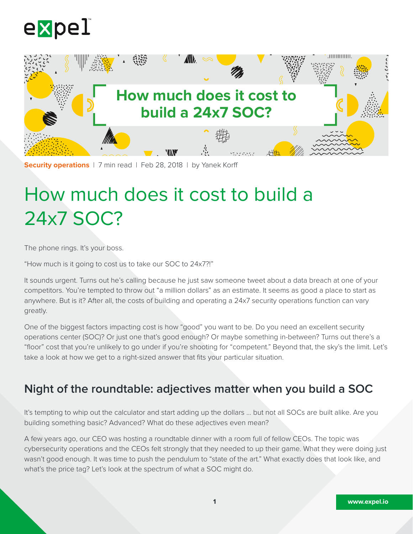



**Security operations** | 7 min read | Feb 28, 2018 | by Yanek Korff

# How much does it cost to build a 24x7 SOC?

The phone rings. It's your boss.

"How much is it going to cost us to take our SOC to 24x7?!"

It sounds urgent. Turns out he's calling because he just saw someone tweet about a data breach at one of your competitors. You're tempted to throw out "a million dollars" as an estimate. It seems as good a place to start as anywhere. But is it? After all, the costs of building and operating a 24x7 security operations function can vary greatly.

One of the biggest factors impacting cost is how "good" you want to be. Do you need an excellent security operations center (SOC)? Or just one that's good enough? Or maybe something in-between? Turns out there's a "floor" cost that you're unlikely to go under if you're shooting for "competent." Beyond that, the sky's the limit. Let's take a look at how we get to a right-sized answer that fits your particular situation.

# **Night of the roundtable: adjectives matter when you build a SOC**

It's tempting to whip out the calculator and start adding up the dollars … but not all SOCs are built alike. Are you building something basic? Advanced? What do these adjectives even mean?

A few years ago, our CEO was hosting a roundtable dinner with a room full of fellow CEOs. The topic was cybersecurity operations and the CEOs felt strongly that they needed to up their game. What they were doing just wasn't good enough. It was time to push the pendulum to "state of the art." What exactly does that look like, and what's the price tag? Let's look at the spectrum of what a SOC might do.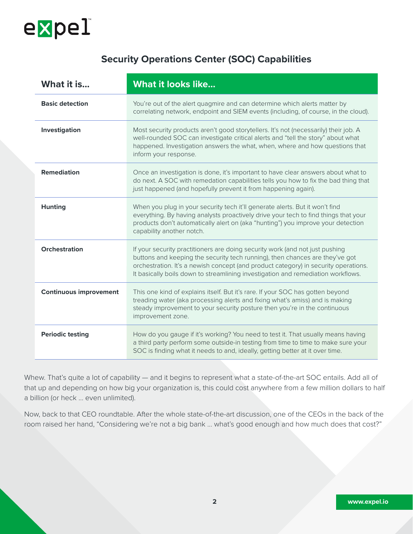

### **Security Operations Center (SOC) Capabilities**

| What it is                    | <b>What it looks like</b>                                                                                                                                                                                                                                                                                                               |  |  |  |
|-------------------------------|-----------------------------------------------------------------------------------------------------------------------------------------------------------------------------------------------------------------------------------------------------------------------------------------------------------------------------------------|--|--|--|
| <b>Basic detection</b>        | You're out of the alert quagmire and can determine which alerts matter by<br>correlating network, endpoint and SIEM events (including, of course, in the cloud).                                                                                                                                                                        |  |  |  |
| Investigation                 | Most security products aren't good storytellers. It's not (necessarily) their job. A<br>well-rounded SOC can investigate critical alerts and "tell the story" about what<br>happened. Investigation answers the what, when, where and how questions that<br>inform your response.                                                       |  |  |  |
| <b>Remediation</b>            | Once an investigation is done, it's important to have clear answers about what to<br>do next. A SOC with remedation capabilities tells you how to fix the bad thing that<br>just happened (and hopefully prevent it from happening again).                                                                                              |  |  |  |
| <b>Hunting</b>                | When you plug in your security tech it'll generate alerts. But it won't find<br>everything. By having analysts proactively drive your tech to find things that your<br>products don't automatically alert on (aka "hunting") you improve your detection<br>capability another notch.                                                    |  |  |  |
| <b>Orchestration</b>          | If your security practitioners are doing security work (and not just pushing<br>buttons and keeping the security tech running), then chances are they've got<br>orchestration. It's a newish concept (and product category) in security operations.<br>It basically boils down to streamlining investigation and remediation workflows. |  |  |  |
| <b>Continuous improvement</b> | This one kind of explains itself. But it's rare. If your SOC has gotten beyond<br>treading water (aka processing alerts and fixing what's amiss) and is making<br>steady improvement to your security posture then you're in the continuous<br>improvement zone.                                                                        |  |  |  |
| <b>Periodic testing</b>       | How do you gauge if it's working? You need to test it. That usually means having<br>a third party perform some outside-in testing from time to time to make sure your<br>SOC is finding what it needs to and, ideally, getting better at it over time.                                                                                  |  |  |  |

Whew. That's quite a lot of capability — and it begins to represent what a state-of-the-art SOC entails. Add all of that up and depending on how big your organization is, this could cost anywhere from a few million dollars to half a billion (or heck … even unlimited).

Now, back to that CEO roundtable. After the whole state-of-the-art discussion, one of the CEOs in the back of the room raised her hand, "Considering we're not a big bank … what's good enough and how much does that cost?"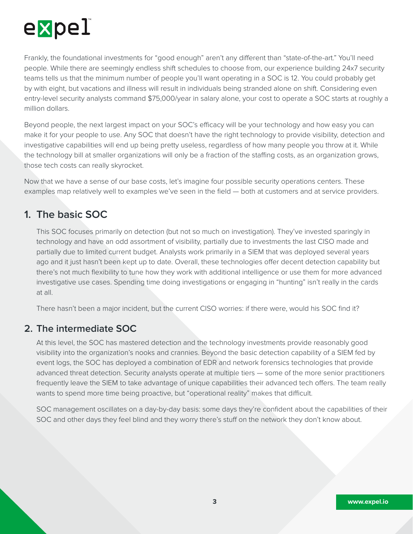

Frankly, the foundational investments for "good enough" aren't any different than "state-of-the-art." You'll need people. While there are seemingly endless shift schedules to choose from, our experience building 24x7 security teams tells us that the minimum number of people you'll want operating in a SOC is 12. You could probably get by with eight, but vacations and illness will result in individuals being stranded alone on shift. Considering even entry-level security analysts command \$75,000/year in salary alone, your cost to operate a SOC starts at roughly a million dollars.

Beyond people, the next largest impact on your SOC's efficacy will be your technology and how easy you can make it for your people to use. Any SOC that doesn't have the right technology to provide visibility, detection and investigative capabilities will end up being pretty useless, regardless of how many people you throw at it. While the technology bill at smaller organizations will only be a fraction of the staffing costs, as an organization grows, those tech costs can really skyrocket.

Now that we have a sense of our base costs, let's imagine four possible security operations centers. These examples map relatively well to examples we've seen in the field — both at customers and at service providers.

## **1. The basic SOC**

This SOC focuses primarily on detection (but not so much on investigation). They've invested sparingly in technology and have an odd assortment of visibility, partially due to investments the last CISO made and partially due to limited current budget. Analysts work primarily in a SIEM that was deployed several years ago and it just hasn't been kept up to date. Overall, these technologies offer decent detection capability but there's not much flexibility to tune how they work with additional intelligence or use them for more advanced investigative use cases. Spending time doing investigations or engaging in "hunting" isn't really in the cards at all.

There hasn't been a major incident, but the current CISO worries: if there were, would his SOC find it?

#### **2. The intermediate SOC**

At this level, the SOC has mastered detection and the technology investments provide reasonably good visibility into the organization's nooks and crannies. Beyond the basic detection capability of a SIEM fed by event logs, the SOC has deployed a combination of EDR and network forensics technologies that provide advanced threat detection. Security analysts operate at multiple tiers — some of the more senior practitioners frequently leave the SIEM to take advantage of unique capabilities their advanced tech offers. The team really wants to spend more time being proactive, but "operational reality" makes that difficult.

SOC management oscillates on a day-by-day basis: some days they're confident about the capabilities of their SOC and other days they feel blind and they worry there's stuff on the network they don't know about.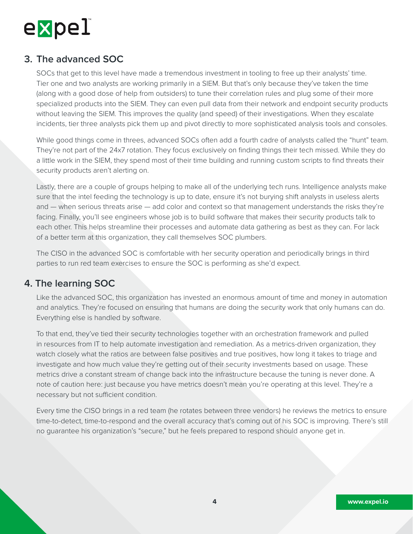

#### **3. The advanced SOC**

SOCs that get to this level have made a tremendous investment in tooling to free up their analysts' time. Tier one and two analysts are working primarily in a SIEM. But that's only because they've taken the time (along with a good dose of help from outsiders) to tune their correlation rules and plug some of their more specialized products into the SIEM. They can even pull data from their network and endpoint security products without leaving the SIEM. This improves the quality (and speed) of their investigations. When they escalate incidents, tier three analysts pick them up and pivot directly to more sophisticated analysis tools and consoles.

While good things come in threes, advanced SOCs often add a fourth cadre of analysts called the "hunt" team. They're not part of the 24x7 rotation. They focus exclusively on finding things their tech missed. While they do a little work in the SIEM, they spend most of their time building and running custom scripts to find threats their security products aren't alerting on.

Lastly, there are a couple of groups helping to make all of the underlying tech runs. Intelligence analysts make sure that the intel feeding the technology is up to date, ensure it's not burying shift analysts in useless alerts and — when serious threats arise — add color and context so that management understands the risks they're facing. Finally, you'll see engineers whose job is to build software that makes their security products talk to each other. This helps streamline their processes and automate data gathering as best as they can. For lack of a better term at this organization, they call themselves SOC plumbers.

The CISO in the advanced SOC is comfortable with her security operation and periodically brings in third parties to run red team exercises to ensure the SOC is performing as she'd expect.

#### **4. The learning SOC**

Like the advanced SOC, this organization has invested an enormous amount of time and money in automation and analytics. They're focused on ensuring that humans are doing the security work that only humans can do. Everything else is handled by software.

To that end, they've tied their security technologies together with an orchestration framework and pulled in resources from IT to help automate investigation and remediation. As a metrics-driven organization, they watch closely what the ratios are between false positives and true positives, how long it takes to triage and investigate and how much value they're getting out of their security investments based on usage. These metrics drive a constant stream of change back into the infrastructure because the tuning is never done. A note of caution here: just because you have metrics doesn't mean you're operating at this level. They're a necessary but not sufficient condition.

Every time the CISO brings in a red team (he rotates between three vendors) he reviews the metrics to ensure time-to-detect, time-to-respond and the overall accuracy that's coming out of his SOC is improving. There's still no guarantee his organization's "secure," but he feels prepared to respond should anyone get in.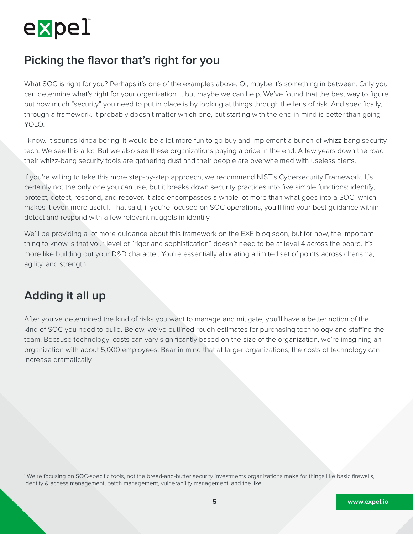

## **Picking the flavor that's right for you**

What SOC is right for you? Perhaps it's one of the examples above. Or, maybe it's something in between. Only you can determine what's right for your organization … but maybe we can help. We've found that the best way to figure out how much "security" you need to put in place is by looking at things through the lens of risk. And specifically, through a framework. It probably doesn't matter which one, but starting with the end in mind is better than going YOLO.

I know. It sounds kinda boring. It would be a lot more fun to go buy and implement a bunch of whizz-bang security tech. We see this a lot. But we also see these organizations paying a price in the end. A few years down the road their whizz-bang security tools are gathering dust and their people are overwhelmed with useless alerts.

If you're willing to take this more step-by-step approach, we recommend NIST's Cybersecurity Framework. It's certainly not the only one you can use, but it breaks down security practices into five simple functions: identify, protect, detect, respond, and recover. It also encompasses a whole lot more than what goes into a SOC, which makes it even more useful. That said, if you're focused on SOC operations, you'll find your best guidance within detect and respond with a few relevant nuggets in identify.

We'll be providing a lot more guidance about this framework on the EXE blog soon, but for now, the important thing to know is that your level of "rigor and sophistication" doesn't need to be at level 4 across the board. It's more like building out your D&D character. You're essentially allocating a limited set of points across charisma, agility, and strength.

## **Adding it all up**

After you've determined the kind of risks you want to manage and mitigate, you'll have a better notion of the kind of SOC you need to build. Below, we've outlined rough estimates for purchasing technology and staffing the team. Because technology<sup>1</sup> costs can vary significantly based on the size of the organization, we're imagining an organization with about 5,000 employees. Bear in mind that at larger organizations, the costs of technology can increase dramatically.

1 We're focusing on SOC-specific tools, not the bread-and-butter security investments organizations make for things like basic firewalls, identity & access management, patch management, vulnerability management, and the like.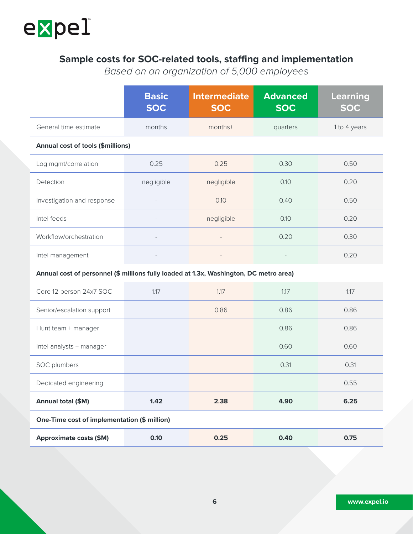

## **Sample costs for SOC-related tools, staffing and implementation**

*Based on an organization of 5,000 employees*

|                                                                                        | <b>Basic</b><br><b>SOC</b> | <b>Intermediate</b><br><b>SOC</b> | <b>Advanced</b><br><b>SOC</b> | <b>Learning</b><br><b>SOC</b> |  |
|----------------------------------------------------------------------------------------|----------------------------|-----------------------------------|-------------------------------|-------------------------------|--|
| General time estimate                                                                  | months                     | months+                           | quarters                      | 1 to 4 years                  |  |
| <b>Annual cost of tools (\$millions)</b>                                               |                            |                                   |                               |                               |  |
| Log mgmt/correlation                                                                   | 0.25                       | 0.25                              | 0.30                          | 0.50                          |  |
| Detection                                                                              | negligible                 | negligible                        | 0.10                          | 0.20                          |  |
| Investigation and response                                                             |                            | 0.10                              | 0.40                          | 0.50                          |  |
| Intel feeds                                                                            | $\overline{\phantom{a}}$   | negligible                        | 0.10                          | 0.20                          |  |
| Workflow/orchestration                                                                 | $\overline{a}$             | $\overline{\phantom{a}}$          | 0.20                          | 0.30                          |  |
| Intel management                                                                       | $\overline{\phantom{a}}$   |                                   |                               | 0.20                          |  |
| Annual cost of personnel (\$ millions fully loaded at 1.3x, Washington, DC metro area) |                            |                                   |                               |                               |  |
| Core 12-person 24x7 SOC                                                                | 1.17                       | 1.17                              | 1.17                          | 1.17                          |  |
| Senior/escalation support                                                              |                            | 0.86                              | 0.86                          | 0.86                          |  |
| Hunt team + manager                                                                    |                            |                                   | 0.86                          | 0.86                          |  |
| Intel analysts + manager                                                               |                            |                                   | 0.60                          | 0.60                          |  |
| SOC plumbers                                                                           |                            |                                   | 0.31                          | 0.31                          |  |
| Dedicated engineering                                                                  |                            |                                   |                               | 0.55                          |  |
| Annual total (\$M)                                                                     | 1.42                       | 2.38                              | 4.90                          | 6.25                          |  |
| One-Time cost of implementation (\$ million)                                           |                            |                                   |                               |                               |  |
| <b>Approximate costs (\$M)</b>                                                         | 0.10                       | 0.25                              | 0.40                          | 0.75                          |  |